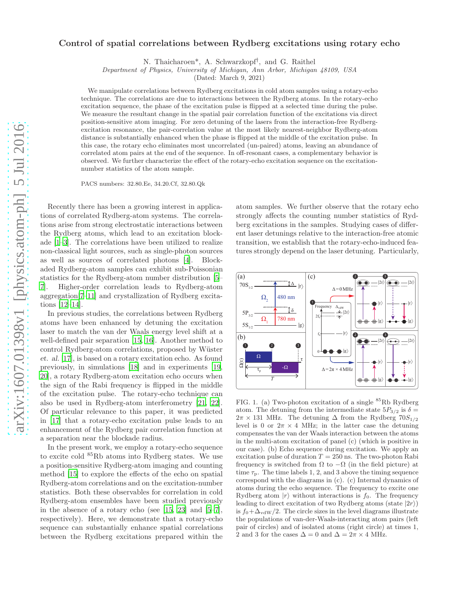## Control of spatial correlations between Rydberg excitations using rotary echo

N. Thaicharoen\*, A. Schwarzkopf† , and G. Raithel

Department of Physics, University of Michigan, Ann Arbor, Michigan 48109, USA

(Dated: March 9, 2021)

We manipulate correlations between Rydberg excitations in cold atom samples using a rotary-echo technique. The correlations are due to interactions between the Rydberg atoms. In the rotary-echo excitation sequence, the phase of the excitation pulse is flipped at a selected time during the pulse. We measure the resultant change in the spatial pair correlation function of the excitations via direct position-sensitive atom imaging. For zero detuning of the lasers from the interaction-free Rydbergexcitation resonance, the pair-correlation value at the most likely nearest-neighbor Rydberg-atom distance is substantially enhanced when the phase is flipped at the middle of the excitation pulse. In this case, the rotary echo eliminates most uncorrelated (un-paired) atoms, leaving an abundance of correlated atom pairs at the end of the sequence. In off-resonant cases, a complementary behavior is observed. We further characterize the effect of the rotary-echo excitation sequence on the excitationnumber statistics of the atom sample.

PACS numbers: 32.80.Ee, 34.20.Cf, 32.80.Qk

Recently there has been a growing interest in applications of correlated Rydberg-atom systems. The correlations arise from strong electrostatic interactions between the Rydberg atoms, which lead to an excitation blockade [\[1](#page-4-0)[–3](#page-4-1)]. The correlations have been utilized to realize non-classical light sources, such as single-photon sources as well as sources of correlated photons [\[4\]](#page-4-2). Blockaded Rydberg-atom samples can exhibit sub-Poissonian statistics for the Rydberg-atom number distribution [\[5](#page-4-3)– [7](#page-4-4)]. Higher-order correlation leads to Rydberg-atom aggregation[\[7](#page-4-4)[–11](#page-4-5)] and crystallization of Rydberg excitations [\[12](#page-4-6)[–14](#page-4-7)].

In previous studies, the correlations between Rydberg atoms have been enhanced by detuning the excitation laser to match the van der Waals energy level shift at a well-defined pair separation [\[15,](#page-4-8) [16](#page-4-9)]. Another method to control Rydberg-atom correlations, proposed by Wüster et. al. [\[17\]](#page-4-10), is based on a rotary excitation echo. As found previously, in simulations [\[18](#page-4-11)] and in experiments [\[19](#page-4-12), [20\]](#page-4-13), a rotary Rydberg-atom excitation echo occurs when the sign of the Rabi frequency is flipped in the middle of the excitation pulse. The rotary-echo technique can also be used in Rydberg-atom interferometry [\[21,](#page-4-14) [22\]](#page-4-15). Of particular relevance to this paper, it was predicted in [\[17\]](#page-4-10) that a rotary-echo excitation pulse leads to an enhancement of the Rydberg pair correlation function at a separation near the blockade radius.

In the present work, we employ a rotary-echo sequence to excite cold <sup>85</sup>Rb atoms into Rydberg states. We use a position-sensitive Rydberg-atom imaging and counting method [\[15](#page-4-8)] to explore the effects of the echo on spatial Rydberg-atom correlations and on the excitation-number statistics. Both these observables for correlation in cold Rydberg-atom ensembles have been studied previously in the absence of a rotary echo (see  $[15, 23]$  $[15, 23]$  and  $[5-7]$ , respectively). Here, we demonstrate that a rotary-echo sequence can substantially enhance spatial correlations between the Rydberg excitations prepared within the

atom samples. We further observe that the rotary echo strongly affects the counting number statistics of Rydberg excitations in the samples. Studying cases of different laser detunings relative to the interaction-free atomic transition, we establish that the rotary-echo-induced features strongly depend on the laser detuning. Particularly,



<span id="page-0-0"></span>FIG. 1. (a) Two-photon excitation of a single  ${}^{85}Rb$  Rydberg atom. The detuning from the intermediate state  $5P_{3/2}$  is  $\delta =$  $2\pi \times 131$  MHz. The detuning  $\Delta$  from the Rydberg  $70S_{1/2}$ level is 0 or  $2\pi \times 4$  MHz; in the latter case the detuning compensates the van der Waals interaction between the atoms in the multi-atom excitation of panel (c) (which is positive in our case). (b) Echo sequence during excitation. We apply an excitation pulse of duration  $T = 250$  ns. The two-photon Rabi frequency is switched from  $\Omega$  to  $-\Omega$  (in the field picture) at time  $\tau_{\rm p}$ . The time labels 1, 2, and 3 above the timing sequence correspond with the diagrams in (c). (c) Internal dynamics of atoms during the echo sequence. The frequency to excite one Rydberg atom  $|r\rangle$  without interactions is  $f_0$ . The frequency leading to direct excitation of two Rydberg atoms (state  $|2r\rangle$ ) is  $f_0 + \Delta_{vdW}/2$ . The circle sizes in the level diagrams illustrate the populations of van-der-Waals-interacting atom pairs (left pair of circles) and of isolated atoms (right circle) at times 1, 2 and 3 for the cases  $\Delta = 0$  and  $\Delta = 2\pi \times 4$  MHz.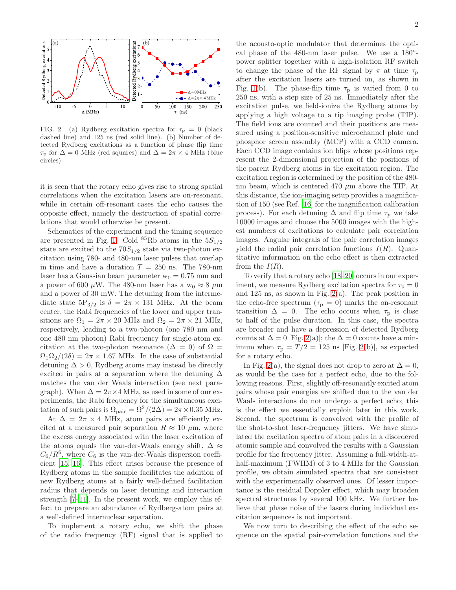

<span id="page-1-0"></span>FIG. 2. (a) Rydberg excitation spectra for  $\tau_{\rm p} = 0$  (black dashed line) and 125 ns (red solid line). (b) Number of detected Rydberg excitations as a function of phase flip time  $\tau_{\rm p}$  for  $\Delta = 0$  MHz (red squares) and  $\Delta = 2\pi \times 4$  MHz (blue circles).

it is seen that the rotary echo gives rise to strong spatial correlations when the excitation lasers are on-resonant, while in certain off-resonant cases the echo causes the opposite effect, namely the destruction of spatial correlations that would otherwise be present.

Schematics of the experiment and the timing sequence are presented in Fig. [1.](#page-0-0) Cold  ${}^{85}Rb$  atoms in the  $5S_{1/2}$ state are excited to the  $70S_{1/2}$  state via two-photon excitation using 780- and 480-nm laser pulses that overlap in time and have a duration  $T = 250$  ns. The 780-nm laser has a Gaussian beam parameter  $w_0 = 0.75$  mm and a power of 600  $\mu$ W. The 480-nm laser has a w<sub>0</sub>  $\approx$  8  $\mu$ m and a power of 30 mW. The detuning from the intermediate state  $5P_{3/2}$  is  $\delta = 2\pi \times 131$  MHz. At the beam center, the Rabi frequencies of the lower and upper transitions are  $\Omega_1 = 2\pi \times 20$  MHz and  $\Omega_2 = 2\pi \times 21$  MHz, respectively, leading to a two-photon (one 780 nm and one 480 nm photon) Rabi frequency for single-atom excitation at the two-photon resonance  $(\Delta = 0)$  of  $\Omega =$  $\Omega_1 \Omega_2 / (2 \delta) = 2 \pi \times 1.67$  MHz. In the case of substantial detuning  $\Delta > 0$ , Rydberg atoms may instead be directly excited in pairs at a separation where the detuning  $\Delta$ matches the van der Waals interaction (see next paragraph). When  $\Delta = 2\pi \times 4$  MHz, as used in some of our experiments, the Rabi frequency for the simultaneous excitation of such pairs is  $\Omega_{\text{pair}} = \Omega^2/(2\Delta) = 2\pi \times 0.35 \text{ MHz}.$ 

At  $\Delta = 2\pi \times 4$  MHz, atom pairs are efficiently excited at a measured pair separation  $R \approx 10 \mu$ m, where the excess energy associated with the laser excitation of the atoms equals the van-der-Waals energy shift,  $\Delta \approx$  $C_6/R^6$ , where  $C_6$  is the van-der-Waals dispersion coefficient [\[15](#page-4-8), [16\]](#page-4-9). This effect arises because the presence of Rydberg atoms in the sample facilitates the addition of new Rydberg atoms at a fairly well-defined facilitation radius that depends on laser detuning and interaction strength [\[7](#page-4-4)[–11\]](#page-4-5). In the present work, we employ this effect to prepare an abundance of Rydberg-atom pairs at a well-defined internuclear separation.

To implement a rotary echo, we shift the phase of the radio frequency (RF) signal that is applied to

the acousto-optic modulator that determines the optical phase of the 480-nm laser pulse. We use a 180°power splitter together with a high-isolation RF switch to change the phase of the RF signal by  $\pi$  at time  $\tau_p$ after the excitation lasers are turned on, as shown in Fig. [1\(](#page-0-0)b). The phase-flip time  $\tau_{\rm p}$  is varied from 0 to 250 ns, with a step size of 25 ns. Immediately after the excitation pulse, we field-ionize the Rydberg atoms by applying a high voltage to a tip imaging probe (TIP). The field ions are counted and their positions are measured using a position-sensitive microchannel plate and phosphor screen assembly (MCP) with a CCD camera. Each CCD image contains ion blips whose positions represent the 2-dimensional projection of the positions of the parent Rydberg atoms in the excitation region. The excitation region is determined by the position of the 480 nm beam, which is centered 470  $\mu$ m above the TIP. At this distance, the ion-imaging setup provides a magnification of 150 (see Ref. [\[16\]](#page-4-9) for the magnification calibration process). For each detuning  $\Delta$  and flip time  $\tau_p$  we take 10000 images and choose the 5000 images with the highest numbers of excitations to calculate pair correlation images. Angular integrals of the pair correlation images yield the radial pair correlation functions  $I(R)$ . Quantitative information on the echo effect is then extracted from the  $I(R)$ .

To verify that a rotary echo [\[18](#page-4-11)[–20](#page-4-13)] occurs in our experiment, we measure Rydberg excitation spectra for  $\tau_p = 0$ and 125 ns, as shown in Fig. [2\(](#page-1-0)a). The peak position in the echo-free spectrum ( $\tau_{\rm p} = 0$ ) marks the on-resonant transition  $\Delta = 0$ . The echo occurs when  $\tau_{\rm p}$  is close to half of the pulse duration. In this case, the spectra are broader and have a depression of detected Rydberg counts at  $\Delta = 0$  [Fig. [2\(](#page-1-0)a)]; the  $\Delta = 0$  counts have a minimum when  $\tau_{\rm p} = T/2 = 125$  ns [Fig. [2\(](#page-1-0)b)], as expected for a rotary echo.

In Fig. [2\(](#page-1-0)a), the signal does not drop to zero at  $\Delta = 0$ , as would be the case for a perfect echo, due to the following reasons. First, slightly off-resonantly excited atom pairs whose pair energies are shifted due to the van der Waals interactions do not undergo a perfect echo; this is the effect we essentially exploit later in this work. Second, the spectrum is convolved with the profile of the shot-to-shot laser-frequency jitters. We have simulated the excitation spectra of atom pairs in a disordered atomic sample and convolved the results with a Gaussian profile for the frequency jitter. Assuming a full-width-athalf-maximum (FWHM) of 3 to 4 MHz for the Gaussian profile, we obtain simulated spectra that are consistent with the experimentally observed ones. Of lesser importance is the residual Doppler effect, which may broaden spectral structures by several 100 kHz. We further believe that phase noise of the lasers during individual excitation sequences is not important.

We now turn to describing the effect of the echo sequence on the spatial pair-correlation functions and the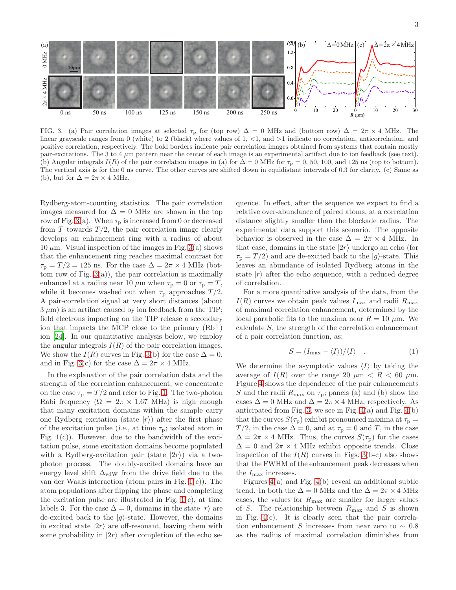

<span id="page-2-0"></span>FIG. 3. (a) Pair correlation images at selected  $\tau_p$  for (top row)  $\Delta = 0$  MHz and (bottom row)  $\Delta = 2\pi \times 4$  MHz. The linear grayscale ranges from 0 (white) to 2 (black) where values of 1, <1, and >1 indicate no correlation, anticorrelation, and positive correlation, respectively. The bold borders indicate pair correlation images obtained from systems that contain mostly pair-excitations. The 3 to 4  $\mu$ m pattern near the center of each image is an experimental artifact due to ion feedback (see text). (b) Angular integrals  $I(R)$  of the pair correlation images in (a) for  $\Delta = 0$  MHz for  $\tau_{\rm p} = 0$ , 50, 100, and 125 ns (top to bottom). The vertical axis is for the 0 ns curve. The other curves are shifted down in equidistant intervals of 0.3 for clarity. (c) Same as (b), but for  $\Delta = 2\pi \times 4$  MHz.

Rydberg-atom-counting statistics. The pair correlation images measured for  $\Delta = 0$  MHz are shown in the top row of Fig. [3\(](#page-2-0)a). When  $\tau_{\rm p}$  is increased from 0 or decreased from T towards  $T/2$ , the pair correlation image clearly develops an enhancement ring with a radius of about 10  $\mu$ m. Visual inspection of the images in Fig. [3\(](#page-2-0)a) shows that the enhancement ring reaches maximal contrast for  $\tau_{\rm p} = T/2 = 125$  ns. For the case  $\Delta = 2\pi \times 4$  MHz (bottom row of Fig.  $3(a)$ , the pair correlation is maximally enhanced at a radius near 10  $\mu$ m when  $\tau_p = 0$  or  $\tau_p = T$ , while it becomes washed out when  $\tau_{\rm p}$  approaches  $T/2$ . A pair-correlation signal at very short distances (about  $3 \mu m$ ) is an artifact caused by ion feedback from the TIP; field electrons impacting on the TIP release a secondary ion that impacts the MCP close to the primary  $(Rb<sup>+</sup>)$ ion [\[24\]](#page-4-17). In our quantitative analysis below, we employ the angular integrals  $I(R)$  of the pair correlation images. We show the  $I(R)$  curves in Fig. [3\(](#page-2-0)b) for the case  $\Delta = 0$ , and in Fig. [3\(](#page-2-0)c) for the case  $\Delta = 2\pi \times 4$  MHz.

In the explanation of the pair correlation data and the strength of the correlation enhancement, we concentrate on the case  $\tau_{\rm p} = T/2$  and refer to Fig. [1.](#page-0-0) The two-photon Rabi frequency ( $\Omega = 2\pi \times 1.67$  MHz) is high enough that many excitation domains within the sample carry one Rydberg excitation (state  $|r\rangle$ ) after the first phase of the excitation pulse (i.e., at time  $\tau_{\rm p}$ ; isolated atom in Fig.  $1(c)$ ). However, due to the bandwidth of the excitation pulse, some excitation domains become populated with a Rydberg-excitation pair (state  $|2r\rangle$ ) via a twophoton process. The doubly-excited domains have an energy level shift  $\Delta_{vdW}$  from the drive field due to the van der Waals interaction (atom pairs in Fig. [1\(](#page-0-0)c)). The atom populations after flipping the phase and completing the excitation pulse are illustrated in Fig.  $1(c)$ , at time labels 3. For the case  $\Delta = 0$ , domains in the state  $|r\rangle$  are de-excited back to the  $|g\rangle$ -state. However, the domains in excited state  $|2r\rangle$  are off-resonant, leaving them with some probability in  $|2r\rangle$  after completion of the echo se-

quence. In effect, after the sequence we expect to find a relative over-abundance of paired atoms, at a correlation distance slightly smaller than the blockade radius. The experimental data support this scenario. The opposite behavior is observed in the case  $\Delta = 2\pi \times 4$  MHz. In that case, domains in the state  $|2r\rangle$  undergo an echo (for  $\tau_{\rm p} = T/2$ ) and are de-excited back to the  $|g\rangle$ -state. This leaves an abundance of isolated Rydberg atoms in the state  $|r\rangle$  after the echo sequence, with a reduced degree of correlation.

For a more quantitative analysis of the data, from the  $I(R)$  curves we obtain peak values  $I_{\text{max}}$  and radii  $R_{\text{max}}$ of maximal correlation enhancement, determined by the local parabolic fits to the maxima near  $R = 10 \mu$ m. We calculate S, the strength of the correlation enhancement of a pair correlation function, as:

$$
S = (I_{\text{max}} - \langle I \rangle) / \langle I \rangle \quad . \tag{1}
$$

We determine the asymptotic values  $\langle I \rangle$  by taking the average of  $I(R)$  over the range 20  $\mu$ m  $\lt R \lt 60 \mu$ m. Figure [4](#page-3-0) shows the dependence of the pair enhancements S and the radii  $R_{\text{max}}$  on  $\tau_{\text{p}}$ ; panels (a) and (b) show the cases  $\Delta = 0$  MHz and  $\Delta = 2\pi \times 4$  MHz, respectively. As anticipated from Fig. [3,](#page-2-0) we see in Fig.  $4(a)$  and Fig.  $4(b)$ that the curves  $S(\tau_{\rm p})$  exhibit pronounced maxima at  $\tau_{\rm p}$  =  $T/2$ , in the case  $\Delta = 0$ , and at  $\tau_{\rm p} = 0$  and T, in the case  $\Delta = 2\pi \times 4$  MHz. Thus, the curves  $S(\tau_{\rm p})$  for the cases  $\Delta = 0$  and  $2\pi \times 4$  MHz exhibit opposite trends. Close inspection of the  $I(R)$  curves in Figs. [3\(](#page-2-0)b-c) also shows that the FWHM of the enhancement peak decreases when the  $I_{\text{max}}$  increases.

Figures [4\(](#page-3-0)a) and Fig. [4\(](#page-3-0)b) reveal an additional subtle trend. In both the  $\Delta = 0$  MHz and the  $\Delta = 2\pi \times 4$  MHz cases, the values for  $R_{\text{max}}$  are smaller for larger values of S. The relationship between  $R_{\text{max}}$  and S is shown in Fig. [4\(](#page-3-0)c). It is clearly seen that the pair correlation enhancement S increases from near zero to  $\sim 0.8$ as the radius of maximal correlation diminishes from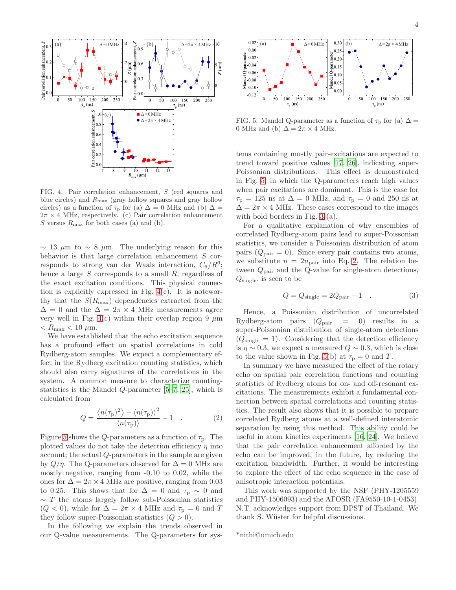

<span id="page-3-0"></span>FIG. 4. Pair correlation enhancement, S (red squares and blue circles) and  $R_{\text{max}}$  (gray hollow squares and gray hollow circles) as a function of  $\tau_{\rm p}$  for (a)  $\Delta = 0$  MHz and (b)  $\Delta =$  $2\pi \times 4$  MHz, respectively. (c) Pair correlation enhancement S versus  $R_{\text{max}}$  for both cases (a) and (b).

 $\sim$  13  $\mu$ m to  $\sim$  8  $\mu$ m. The underlying reason for this behavior is that large correlation enhancement S corresponds to strong van der Waals interaction,  $C_6/R^6$ ; hence a large  $S$  corresponds to a small  $R$ , regardless of the exact excitation conditions. This physical connection is explicitly expressed in Fig. [4\(](#page-3-0)c). It is noteworthy that the  $S(R_{\text{max}})$  dependencies extracted from the  $\Delta = 0$  and the  $\Delta = 2\pi \times 4$  MHz measurements agree very well in Fig. [4\(](#page-3-0)c) within their overlap region 9  $\mu$ m  $\langle R_{\text{max}} \langle 10 \mu \text{m} \rangle$ .

We have established that the echo excitation sequence has a profound effect on spatial correlations in cold Rydberg-atom samples. We expect a complementary effect in the Rydberg excitation counting statistics, which should also carry signatures of the correlations in the system. A common measure to characterize countingstatistics is the Mandel  $Q$ -parameter  $[5-7, 25]$  $[5-7, 25]$ , which is calculated from

<span id="page-3-2"></span>
$$
Q = \frac{\langle n(\tau_{\rm p})^2 \rangle - \langle n(\tau_{\rm p}) \rangle^2}{\langle n(\tau_{\rm p}) \rangle} - 1 \quad . \tag{2}
$$

Figure [5](#page-3-1) shows the Q-parameters as a function of  $\tau_{\rm p}$ . The plotted values do not take the detection efficiency  $\eta$  into account; the actual Q-parameters in the sample are given by  $Q/\eta$ . The Q-parameters observed for  $\Delta = 0$  MHz are mostly negative, ranging from -0.10 to 0.02, while the ones for  $\Delta = 2\pi \times 4$  MHz are positive, ranging from 0.03 to 0.25. This shows that for  $\Delta = 0$  and  $\tau_{\rm p} \sim 0$  and  $∼$  T the atoms largely follow sub-Poissonian statistics  $(Q < 0)$ , while for  $\Delta = 2\pi \times 4$  MHz and  $\tau_{\rm p} = 0$  and T they follow super-Poissonian statistics  $(Q > 0)$ .

In the following we explain the trends observed in our Q-value measurements. The Q-parameters for sys-



<span id="page-3-1"></span>FIG. 5. Mandel Q-parameter as a function of  $\tau_{\rm p}$  for (a)  $\Delta =$ 0 MHz and (b)  $\Delta = 2\pi \times 4$  MHz.

tems containing mostly pair-excitations are expected to trend toward positive values [\[17](#page-4-10), [26\]](#page-4-19), indicating super-Poissonian distributions. This effect is demonstrated in Fig. [5,](#page-3-1) in which the Q-parameters reach high values when pair excitations are dominant. This is the case for  $\tau_{\rm p} = 125$  ns at  $\Delta = 0$  MHz, and  $\tau_{\rm p} = 0$  and 250 ns at  $\Delta = 2\pi \times 4$  MHz. These cases correspond to the images with bold borders in Fig. [3](#page-2-0) (a).

For a qualitative explanation of why ensembles of correlated Rydberg-atom pairs lead to super-Poissonian statistics, we consider a Poissonian distribution of atom pairs  $(Q_{\text{pair}} = 0)$ . Since every pair contains two atoms, we substitute  $n = 2n_{\text{pair}}$  into Eq. [2.](#page-3-2) The relation between  $Q_{\text{pair}}$  and the Q-value for single-atom detections,  $Q_{\text{single}}$ , is seen to be

$$
Q = Q_{\text{single}} = 2Q_{\text{pair}} + 1 \quad . \tag{3}
$$

Hence, a Poissonian distribution of uncorrelated Rydberg-atom pairs  $(Q_{\text{pair}} = 0)$  results in a super-Poissonian distribution of single-atom detections  $(Q_{\text{single}} = 1)$ . Considering that the detection efficiency is  $\eta \sim 0.3$ , we expect a measured  $Q \sim 0.3$ , which is close to the value shown in Fig. [5\(](#page-3-1)b) at  $\tau_{\rm p} = 0$  and T.

In summary we have measured the effect of the rotary echo on spatial pair correlation functions and counting statistics of Rydberg atoms for on- and off-resonant excitations. The measurements exhibit a fundamental connection between spatial correlations and counting statistics. The result also shows that it is possible to prepare correlated Rydberg atoms at a well-defined interatomic separation by using this method. This ability could be useful in atom kinetics experiments [\[16,](#page-4-9) [24\]](#page-4-17). We believe that the pair correlation enhancement afforded by the echo can be improved, in the future, by reducing the excitation bandwidth. Further, it would be interesting to explore the effect of the echo sequence in the case of anisotropic interaction potentials.

This work was supported by the NSF (PHY-1205559 and PHY-1506093) and the AFOSR (FA9550-10-1-0453). N.T. acknowledges support from DPST of Thailand. We thank S. Wüster for helpful discussions.

\*nithi@umich.edu